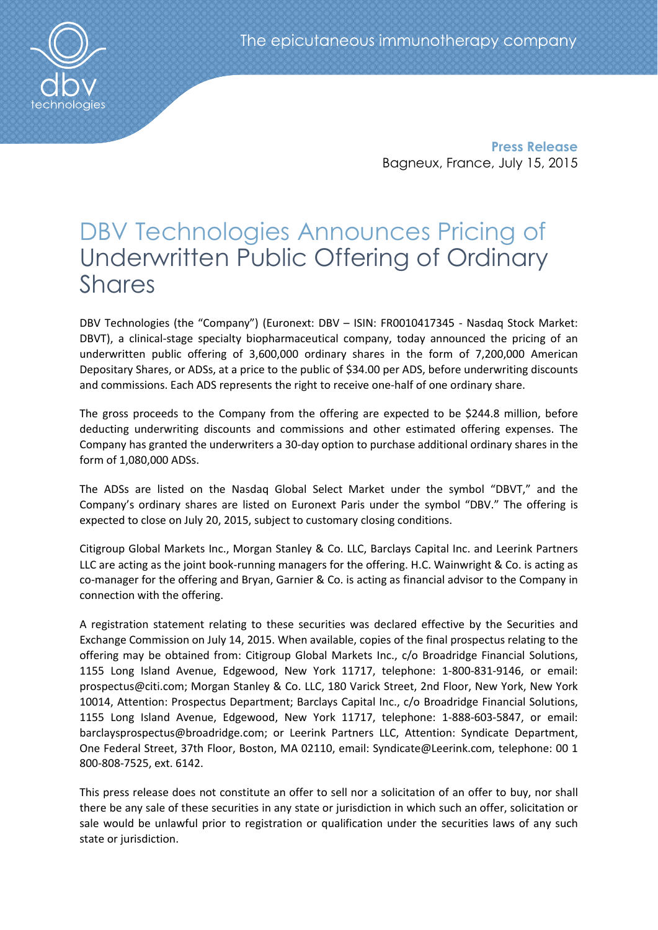

Press Release Bagneux, France, July 15, 2015

# DBV Technologies Announces Pricing of Underwritten Public Offering of Ordinary Shares

DBV Technologies (the "Company") (Euronext: DBV – ISIN: FR0010417345 - Nasdaq Stock Market: DBVT), a clinical-stage specialty biopharmaceutical company, today announced the pricing of an underwritten public offering of 3,600,000 ordinary shares in the form of 7,200,000 American Depositary Shares, or ADSs, at a price to the public of \$34.00 per ADS, before underwriting discounts and commissions. Each ADS represents the right to receive one-half of one ordinary share.

The gross proceeds to the Company from the offering are expected to be \$244.8 million, before deducting underwriting discounts and commissions and other estimated offering expenses. The Company has granted the underwriters a 30-day option to purchase additional ordinary shares in the form of 1,080,000 ADSs.

The ADSs are listed on the Nasdaq Global Select Market under the symbol "DBVT," and the Company's ordinary shares are listed on Euronext Paris under the symbol "DBV." The offering is expected to close on July 20, 2015, subject to customary closing conditions.

Citigroup Global Markets Inc., Morgan Stanley & Co. LLC, Barclays Capital Inc. and Leerink Partners LLC are acting as the joint book-running managers for the offering. H.C. Wainwright & Co. is acting as co-manager for the offering and Bryan, Garnier & Co. is acting as financial advisor to the Company in connection with the offering.

A registration statement relating to these securities was declared effective by the Securities and Exchange Commission on July 14, 2015. When available, copies of the final prospectus relating to the offering may be obtained from: Citigroup Global Markets Inc., c/o Broadridge Financial Solutions, 1155 Long Island Avenue, Edgewood, New York 11717, telephone: 1-800-831-9146, or email: prospectus@citi.com; Morgan Stanley & Co. LLC, 180 Varick Street, 2nd Floor, New York, New York 10014, Attention: Prospectus Department; Barclays Capital Inc., c/o Broadridge Financial Solutions, 1155 Long Island Avenue, Edgewood, New York 11717, telephone: 1-888-603-5847, or email: barclaysprospectus@broadridge.com; or Leerink Partners LLC, Attention: Syndicate Department, One Federal Street, 37th Floor, Boston, MA 02110, email: Syndicate@Leerink.com, telephone: 00 1 800-808-7525, ext. 6142.

This press release does not constitute an offer to sell nor a solicitation of an offer to buy, nor shall there be any sale of these securities in any state or jurisdiction in which such an offer, solicitation or sale would be unlawful prior to registration or qualification under the securities laws of any such state or jurisdiction.